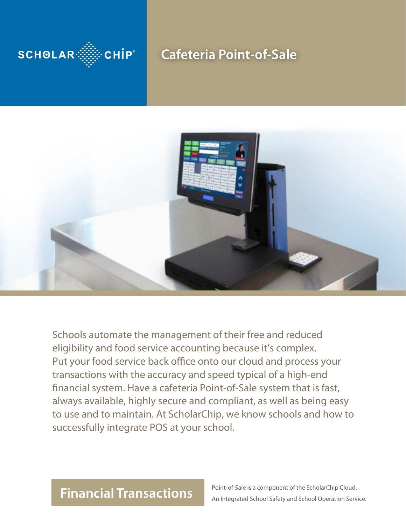

## **Cafeteria Point-of-Sale**



Schools automate the management of their free and reduced eligibility and food service accounting because it's complex. Put your food service back office onto our cloud and process your transactions with the accuracy and speed typical of a high-end financial system. Have a cafeteria Point-of-Sale system that is fast, always available, highly secure and compliant, as well as being easy to use and to maintain. At ScholarChip, we know schools and how to successfully integrate POS at your school.

# **Financial Transactions**

Point-of-Sale is a component of the ScholarChip Cloud. An Integrated School Safety and School Operation Service.